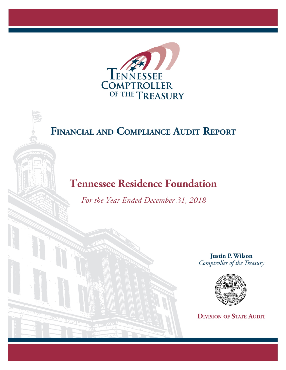

# FINANCIAL AND COMPLIANCE AUDIT REPORT

## **Tennessee Residence Foundation**

*For the Year Ended December 31, 2018*

**Justin P. Wilson** Comptroller of the Treasury



**DIVISION OF STATE AUDIT**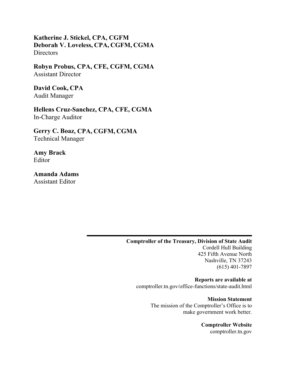**Katherine J. Stickel, CPA, CGFM Deborah V. Loveless, CPA, CGFM, CGMA Directors** 

**Robyn Probus, CPA, CFE, CGFM, CGMA**  Assistant Director

**David Cook, CPA**  Audit Manager

**Hellens Cruz-Sanchez, CPA, CFE, CGMA**  In-Charge Auditor

**Gerry C. Boaz, CPA, CGFM, CGMA** Technical Manager

**Amy Brack**  Editor

**Amanda Adams**  Assistant Editor

> **Comptroller of the Treasury, Division of State Audit**  Cordell Hull Building 425 Fifth Avenue North Nashville, TN 37243 (615) 401-7897

**Reports are available at**  comptroller.tn.gov/office-functions/state-audit.html

> **Mission Statement**  The mission of the Comptroller's Office is to make government work better.

> > **Comptroller Website**  comptroller.tn.gov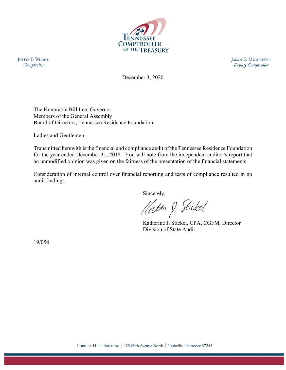

**JUSTIN P. WILSON** Comptroller

**JASON E. MUMPOWER** Deputy Comptroller

December 3, 2020

The Honorable Bill Lee, Governor Members of the General Assembly Board of Directors, Tennessee Residence Foundation

Ladies and Gentlemen:

Transmitted herewith is the financial and compliance audit of the Tennessee Residence Foundation for the year ended December 31, 2018. You will note from the independent auditor's report that an unmodified opinion was given on the fairness of the presentation of the financial statements.

Consideration of internal control over financial reporting and tests of compliance resulted in no audit findings.

Sincerely,

Hatte J. Stickel

 Katherine J. Stickel, CPA, CGFM, Director Division of State Audit

19/054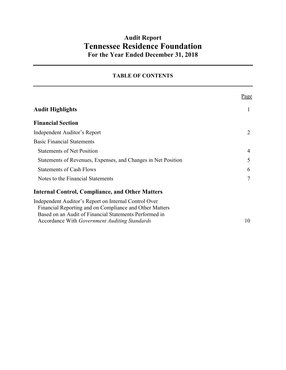### **Audit Report Tennessee Residence Foundation For the Year Ended December 31, 2018**

#### **TABLE OF CONTENTS**

|                                                                                                                                                                                                                                    | Page |
|------------------------------------------------------------------------------------------------------------------------------------------------------------------------------------------------------------------------------------|------|
| <b>Audit Highlights</b>                                                                                                                                                                                                            |      |
| <b>Financial Section</b>                                                                                                                                                                                                           |      |
| Independent Auditor's Report                                                                                                                                                                                                       |      |
| <b>Basic Financial Statements</b>                                                                                                                                                                                                  |      |
| <b>Statements of Net Position</b>                                                                                                                                                                                                  | 4    |
| Statements of Revenues, Expenses, and Changes in Net Position                                                                                                                                                                      | 5    |
| <b>Statements of Cash Flows</b>                                                                                                                                                                                                    | 6    |
| Notes to the Financial Statements                                                                                                                                                                                                  | 7    |
| <b>Internal Control, Compliance, and Other Matters</b>                                                                                                                                                                             |      |
| Independent Auditor's Report on Internal Control Over<br>Financial Reporting and on Compliance and Other Matters<br>Based on an Audit of Financial Statements Performed in<br>Accordance With <i>Government Auditing Standards</i> | 10   |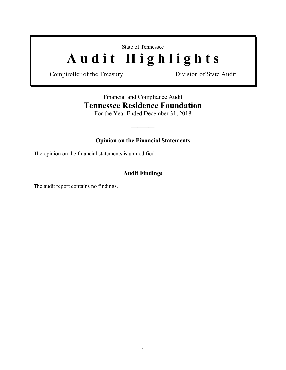State of Tennessee

# Audit Highlights

Comptroller of the Treasury Division of State Audit

## Financial and Compliance Audit **Tennessee Residence Foundation**

For the Year Ended December 31, 2018

 $\frac{1}{2}$ 

#### **Opinion on the Financial Statements**

The opinion on the financial statements is unmodified.

#### **Audit Findings**

The audit report contains no findings.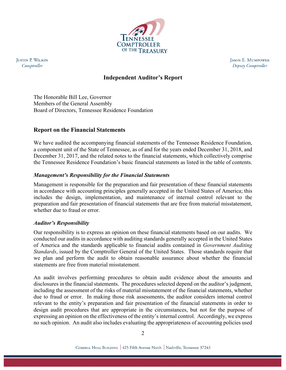

**JUSTIN P. WILSON** Comptroller

**JASON E. MUMPOWER** Deputy Comptroller

#### **Independent Auditor's Report**

The Honorable Bill Lee, Governor Members of the General Assembly Board of Directors, Tennessee Residence Foundation

#### **Report on the Financial Statements**

We have audited the accompanying financial statements of the Tennessee Residence Foundation, a component unit of the State of Tennessee, as of and for the years ended December 31, 2018, and December 31, 2017, and the related notes to the financial statements, which collectively comprise the Tennessee Residence Foundation's basic financial statements as listed in the table of contents.

#### *Management's Responsibility for the Financial Statements*

Management is responsible for the preparation and fair presentation of these financial statements in accordance with accounting principles generally accepted in the United States of America; this includes the design, implementation, and maintenance of internal control relevant to the preparation and fair presentation of financial statements that are free from material misstatement, whether due to fraud or error.

#### *Auditor's Responsibility*

Our responsibility is to express an opinion on these financial statements based on our audits. We conducted our audits in accordance with auditing standards generally accepted in the United States of America and the standards applicable to financial audits contained in *Government Auditing Standards*, issued by the Comptroller General of the United States. Those standards require that we plan and perform the audit to obtain reasonable assurance about whether the financial statements are free from material misstatement.

An audit involves performing procedures to obtain audit evidence about the amounts and disclosures in the financial statements. The procedures selected depend on the auditor's judgment, including the assessment of the risks of material misstatement of the financial statements, whether due to fraud or error. In making those risk assessments, the auditor considers internal control relevant to the entity's preparation and fair presentation of the financial statements in order to design audit procedures that are appropriate in the circumstances, but not for the purpose of expressing an opinion on the effectiveness of the entity's internal control. Accordingly, we express no such opinion. An audit also includes evaluating the appropriateness of accounting policies used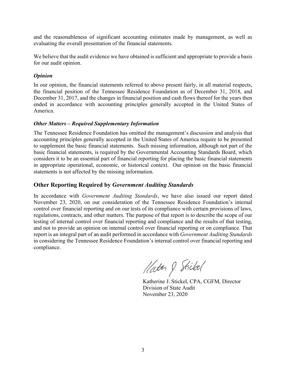and the reasonableness of significant accounting estimates made by management, as well as evaluating the overall presentation of the financial statements.

We believe that the audit evidence we have obtained is sufficient and appropriate to provide a basis for our audit opinion.

#### *Opinion*

In our opinion, the financial statements referred to above present fairly, in all material respects, the financial position of the Tennessee Residence Foundation as of December 31, 2018, and December 31, 2017, and the changes in financial position and cash flows thereof for the years then ended in accordance with accounting principles generally accepted in the United States of America.

#### *Other Matters – Required Supplementary Information*

The Tennessee Residence Foundation has omitted the management's discussion and analysis that accounting principles generally accepted in the United States of America require to be presented to supplement the basic financial statements. Such missing information, although not part of the basic financial statements, is required by the Governmental Accounting Standards Board, which considers it to be an essential part of financial reporting for placing the basic financial statements in appropriate operational, economic, or historical context. Our opinion on the basic financial statements is not affected by the missing information.

#### **Other Reporting Required by** *Government Auditing Standards*

In accordance with *Government Auditing Standards*, we have also issued our report dated November 23, 2020, on our consideration of the Tennessee Residence Foundation's internal control over financial reporting and on our tests of its compliance with certain provisions of laws, regulations, contracts, and other matters. The purpose of that report is to describe the scope of our testing of internal control over financial reporting and compliance and the results of that testing, and not to provide an opinion on internal control over financial reporting or on compliance. That report is an integral part of an audit performed in accordance with *Government Auditing Standards*  in considering the Tennessee Residence Foundation's internal control over financial reporting and compliance.

Hatter J. Stickel

Katherine J. Stickel, CPA, CGFM, Director Division of State Audit November 23, 2020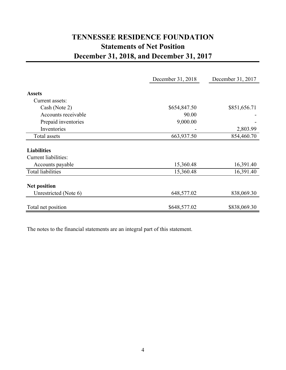## **TENNESSEE RESIDENCE FOUNDATION Statements of Net Position December 31, 2018, and December 31, 2017**

|                             | December 31, 2018 | December 31, 2017 |
|-----------------------------|-------------------|-------------------|
|                             |                   |                   |
| <b>Assets</b>               |                   |                   |
| Current assets:             |                   |                   |
| Cash (Note 2)               | \$654,847.50      | \$851,656.71      |
| Accounts receivable         | 90.00             |                   |
| Prepaid inventories         | 9,000.00          |                   |
| Inventories                 |                   | 2,803.99          |
| Total assets                | 663,937.50        | 854,460.70        |
| <b>Liabilities</b>          |                   |                   |
| <b>Current liabilities:</b> |                   |                   |
| Accounts payable            | 15,360.48         | 16,391.40         |
| <b>Total liabilities</b>    | 15,360.48         | 16,391.40         |
| <b>Net position</b>         |                   |                   |
| Unrestricted (Note 6)       | 648,577.02        | 838,069.30        |
| Total net position          | \$648,577.02      | \$838,069.30      |

The notes to the financial statements are an integral part of this statement.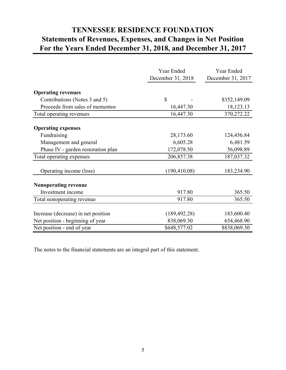## **TENNESSEE RESIDENCE FOUNDATION Statements of Revenues, Expenses, and Changes in Net Position For the Years Ended December 31, 2018, and December 31, 2017**

|                                     | Year Ended<br>December 31, 2018 | <b>Year Ended</b><br>December 31, 2017 |
|-------------------------------------|---------------------------------|----------------------------------------|
|                                     |                                 |                                        |
| <b>Operating revenues</b>           |                                 |                                        |
| Contributions (Notes 3 and 5)       | \$                              | \$352,149.09                           |
| Proceeds from sales of mementos     | 16,447.30                       | 18,123.13                              |
| Total operating revenues            | 16,447.30                       | 370,272.22                             |
|                                     |                                 |                                        |
| <b>Operating expenses</b>           |                                 |                                        |
| Fundraising                         | 28,173.60                       | 124,456.84                             |
| Management and general              | 6,605.28                        | 6,481.59                               |
| Phase IV - garden restoration plan  | 172,078.50                      | 56,098.89                              |
| Total operating expenses            | 206,857.38                      | 187,037.32                             |
|                                     |                                 |                                        |
| Operating income (loss)             | (190, 410.08)                   | 183,234.90                             |
| Nonoperating revenue                |                                 |                                        |
| Investment income                   | 917.80                          | 365.50                                 |
| Total nonoperating revenue          | 917.80                          | 365.50                                 |
|                                     |                                 |                                        |
| Increase (decrease) in net position | (189, 492.28)                   | 183,600.40                             |
| Net position - beginning of year    | 838,069.30                      | 654,468.90                             |
| Net position - end of year          | \$648,577.02                    | \$838,069.30                           |

The notes to the financial statements are an integral part of this statement.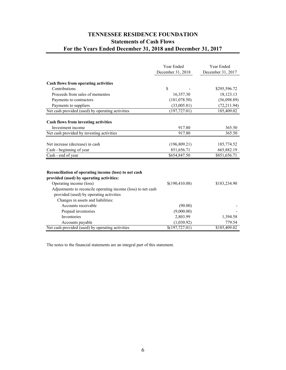#### **TENNESSEE RESIDENCE FOUNDATION Statements of Cash Flows For the Years Ended December 31, 2018 and December 31, 2017**

|                                                                                                   | Year Ended        | Year Ended        |
|---------------------------------------------------------------------------------------------------|-------------------|-------------------|
|                                                                                                   | December 31, 2018 | December 31, 2017 |
| Cash flows from operating activities                                                              |                   |                   |
| Contributions                                                                                     | \$                | \$295,596.72      |
| Proceeds from sales of mementos                                                                   | 16,357.30         | 18,123.13         |
| Payments to contractors                                                                           | (181, 078.50)     | (56,098.89)       |
| Payments to suppliers                                                                             | (33,005.81)       | (72, 211.94)      |
| Net cash provided (used) by operating activities                                                  | (197, 727.01)     | 185,409.02        |
| <b>Cash flows from investing activities</b>                                                       |                   |                   |
| Investment income                                                                                 | 917.80            | 365.50            |
| Net cash provided by investing activities                                                         | 917.80            | 365.50            |
| Net increase (decrease) in cash                                                                   | (196, 809.21)     | 185,774.52        |
| Cash - beginning of year                                                                          | 851,656.71        | 665,882.19        |
| Cash - end of year                                                                                | \$654,847.50      | \$851,656.71      |
|                                                                                                   |                   |                   |
| Reconciliation of operating income (loss) to net cash<br>provided (used) by operating activities: |                   |                   |
| Operating income (loss)                                                                           | \$(190,410.08)    | \$183,234.90      |
| Adjustments to reconcile operating income (loss) to net cash                                      |                   |                   |
| provided (used) by operating activities                                                           |                   |                   |
| Changes in assets and liabilities:                                                                |                   |                   |
| Accounts receivable                                                                               | (90.00)           |                   |
| Prepaid inventories                                                                               | (9,000.00)        |                   |
| <b>Inventories</b>                                                                                | 2,803.99          | 1,394.58          |
| Accounts payable                                                                                  | (1,030.92)        | 779.54            |
| Net cash provided (used) by operating activities                                                  | \$(197, 727.01)   | \$185,409.02      |

The notes to the financial statements are an integral part of this statement.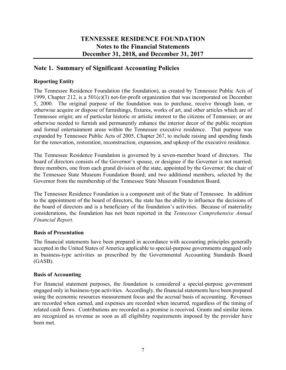#### **Note 1. Summary of Significant Accounting Policies**

#### **Reporting Entity**

The Tennessee Residence Foundation (the foundation), as created by Tennessee Public Acts of 1999, Chapter 212, is a 501(c)(3) not-for-profit organization that was incorporated on December 5, 2000. The original purpose of the foundation was to purchase, receive through loan, or otherwise acquire or dispose of furnishings, fixtures, works of art, and other articles which are of Tennessee origin; are of particular historic or artistic interest to the citizens of Tennessee; or are otherwise needed to furnish and permanently enhance the interior decor of the public reception and formal entertainment areas within the Tennessee executive residence. That purpose was expanded by Tennessee Public Acts of 2005, Chapter 267, to include raising and spending funds for the renovation, restoration, reconstruction, expansion, and upkeep of the executive residence.

The Tennessee Residence Foundation is governed by a seven-member board of directors. The board of directors consists of the Governor's spouse, or designee if the Governor is not married; three members, one from each grand division of the state, appointed by the Governor; the chair of the Tennessee State Museum Foundation Board; and two additional members, selected by the Governor from the membership of the Tennessee State Museum Foundation Board.

The Tennessee Residence Foundation is a component unit of the State of Tennessee. In addition to the appointment of the board of directors, the state has the ability to influence the decisions of the board of directors and is a beneficiary of the foundation's activities. Because of materiality considerations, the foundation has not been reported in the *Tennessee Comprehensive Annual Financial Report.*

#### **Basis of Presentation**

The financial statements have been prepared in accordance with accounting principles generally accepted in the United States of America applicable to special-purpose governments engaged only in business-type activities as prescribed by the Governmental Accounting Standards Board (GASB).

#### **Basis of Accounting**

For financial statement purposes, the foundation is considered a special-purpose government engaged only in business-type activities. Accordingly, the financial statements have been prepared using the economic resources measurement focus and the accrual basis of accounting. Revenues are recorded when earned, and expenses are recorded when incurred, regardless of the timing of related cash flows. Contributions are recorded as a promise is received. Grants and similar items are recognized as revenue as soon as all eligibility requirements imposed by the provider have been met.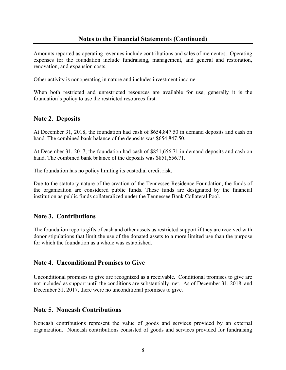Amounts reported as operating revenues include contributions and sales of mementos. Operating expenses for the foundation include fundraising, management, and general and restoration, renovation, and expansion costs.

Other activity is nonoperating in nature and includes investment income.

When both restricted and unrestricted resources are available for use, generally it is the foundation's policy to use the restricted resources first.

#### **Note 2. Deposits**

At December 31, 2018, the foundation had cash of \$654,847.50 in demand deposits and cash on hand. The combined bank balance of the deposits was \$654,847.50.

At December 31, 2017, the foundation had cash of \$851,656.71 in demand deposits and cash on hand. The combined bank balance of the deposits was \$851,656.71.

The foundation has no policy limiting its custodial credit risk.

Due to the statutory nature of the creation of the Tennessee Residence Foundation, the funds of the organization are considered public funds. These funds are designated by the financial institution as public funds collateralized under the Tennessee Bank Collateral Pool.

#### **Note 3. Contributions**

The foundation reports gifts of cash and other assets as restricted support if they are received with donor stipulations that limit the use of the donated assets to a more limited use than the purpose for which the foundation as a whole was established.

#### **Note 4. Unconditional Promises to Give**

Unconditional promises to give are recognized as a receivable. Conditional promises to give are not included as support until the conditions are substantially met. As of December 31, 2018, and December 31, 2017, there were no unconditional promises to give.

#### **Note 5. Noncash Contributions**

Noncash contributions represent the value of goods and services provided by an external organization. Noncash contributions consisted of goods and services provided for fundraising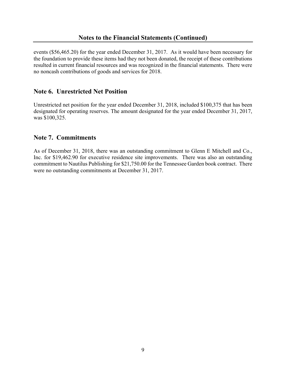events (\$56,465.20) for the year ended December 31, 2017. As it would have been necessary for the foundation to provide these items had they not been donated, the receipt of these contributions resulted in current financial resources and was recognized in the financial statements. There were no noncash contributions of goods and services for 2018.

#### **Note 6. Unrestricted Net Position**

Unrestricted net position for the year ended December 31, 2018, included \$100,375 that has been designated for operating reserves. The amount designated for the year ended December 31, 2017, was \$100,325.

#### **Note 7. Commitments**

As of December 31, 2018, there was an outstanding commitment to Glenn E Mitchell and Co., Inc. for \$19,462.90 for executive residence site improvements. There was also an outstanding commitment to Nautilus Publishing for \$21,750.00 for the Tennessee Garden book contract. There were no outstanding commitments at December 31, 2017.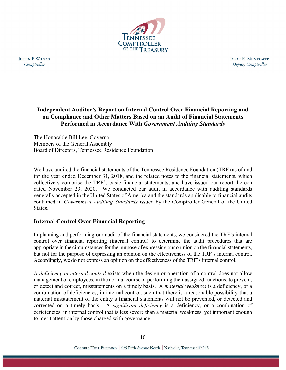

**JUSTIN P. WILSON** Comptroller

**JASON E. MUMPOWER** Deputy Comptroller

#### **Independent Auditor's Report on Internal Control Over Financial Reporting and on Compliance and Other Matters Based on an Audit of Financial Statements Performed in Accordance With** *Government Auditing Standards*

The Honorable Bill Lee, Governor Members of the General Assembly Board of Directors, Tennessee Residence Foundation

We have audited the financial statements of the Tennessee Residence Foundation (TRF) as of and for the year ended December 31, 2018, and the related notes to the financial statements, which collectively comprise the TRF's basic financial statements, and have issued our report thereon dated November 23, 2020. We conducted our audit in accordance with auditing standards generally accepted in the United States of America and the standards applicable to financial audits contained in *Government Auditing Standards* issued by the Comptroller General of the United States.

#### **Internal Control Over Financial Reporting**

In planning and performing our audit of the financial statements, we considered the TRF's internal control over financial reporting (internal control) to determine the audit procedures that are appropriate in the circumstances for the purpose of expressing our opinion on the financial statements, but not for the purpose of expressing an opinion on the effectiveness of the TRF's internal control. Accordingly, we do not express an opinion on the effectiveness of the TRF's internal control.

A *deficiency in internal control* exists when the design or operation of a control does not allow management or employees, in the normal course of performing their assigned functions, to prevent, or detect and correct, misstatements on a timely basis. A *material weakness* is a deficiency, or a combination of deficiencies, in internal control, such that there is a reasonable possibility that a material misstatement of the entity's financial statements will not be prevented, or detected and corrected on a timely basis. A *significant deficiency* is a deficiency, or a combination of deficiencies, in internal control that is less severe than a material weakness, yet important enough to merit attention by those charged with governance.